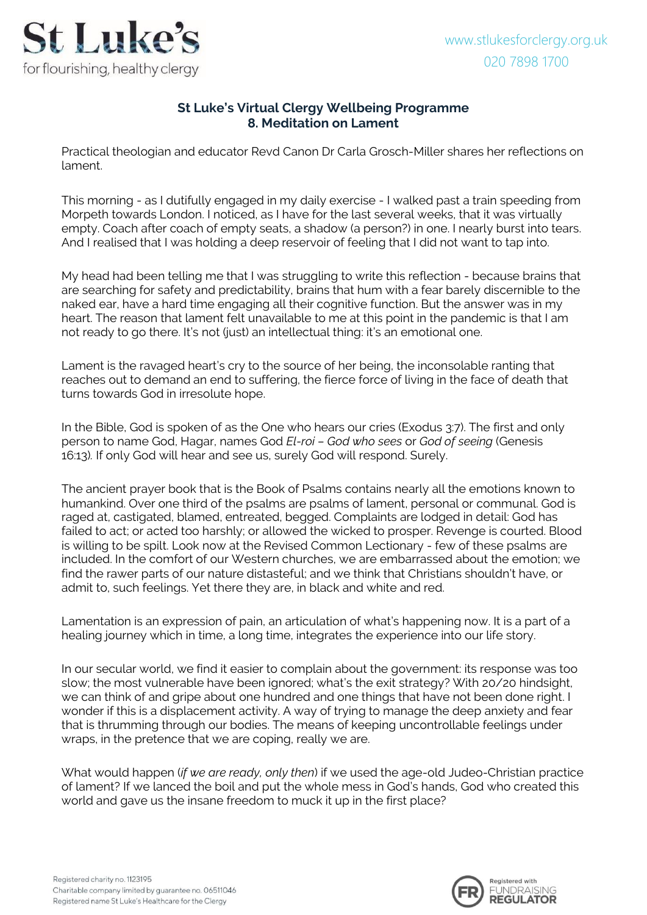

## **St Luke's Virtual Clergy Wellbeing Programme 8. Meditation on Lament**

Practical theologian and educator Revd Canon Dr Carla Grosch-Miller shares her reflections on lament.

This morning - as I dutifully engaged in my daily exercise - I walked past a train speeding from Morpeth towards London. I noticed, as I have for the last several weeks, that it was virtually empty. Coach after coach of empty seats, a shadow (a person?) in one. I nearly burst into tears. And I realised that I was holding a deep reservoir of feeling that I did not want to tap into.

My head had been telling me that I was struggling to write this reflection - because brains that are searching for safety and predictability, brains that hum with a fear barely discernible to the naked ear, have a hard time engaging all their cognitive function. But the answer was in my heart. The reason that lament felt unavailable to me at this point in the pandemic is that I am not ready to go there. It's not (just) an intellectual thing: it's an emotional one.

Lament is the ravaged heart's cry to the source of her being, the inconsolable ranting that reaches out to demand an end to suffering, the fierce force of living in the face of death that turns towards God in irresolute hope.

In the Bible, God is spoken of as the One who hears our cries (Exodus 3:7). The first and only person to name God, Hagar, names God *El-roi – God who sees* or *God of seeing* (Genesis 16:13)*.* If only God will hear and see us, surely God will respond. Surely.

The ancient prayer book that is the Book of Psalms contains nearly all the emotions known to humankind. Over one third of the psalms are psalms of lament, personal or communal. God is raged at, castigated, blamed, entreated, begged. Complaints are lodged in detail: God has failed to act; or acted too harshly; or allowed the wicked to prosper. Revenge is courted. Blood is willing to be spilt. Look now at the Revised Common Lectionary - few of these psalms are included. In the comfort of our Western churches, we are embarrassed about the emotion; we find the rawer parts of our nature distasteful; and we think that Christians shouldn't have, or admit to, such feelings. Yet there they are, in black and white and red.

Lamentation is an expression of pain, an articulation of what's happening now. It is a part of a healing journey which in time, a long time, integrates the experience into our life story.

In our secular world, we find it easier to complain about the government: its response was too slow; the most vulnerable have been ignored; what's the exit strategy? With 20/20 hindsight, we can think of and gripe about one hundred and one things that have not been done right. I wonder if this is a displacement activity. A way of trying to manage the deep anxiety and fear that is thrumming through our bodies. The means of keeping uncontrollable feelings under wraps, in the pretence that we are coping, really we are.

What would happen (*if we are ready, only then*) if we used the age-old Judeo-Christian practice of lament? If we lanced the boil and put the whole mess in God's hands, God who created this world and gave us the insane freedom to muck it up in the first place?